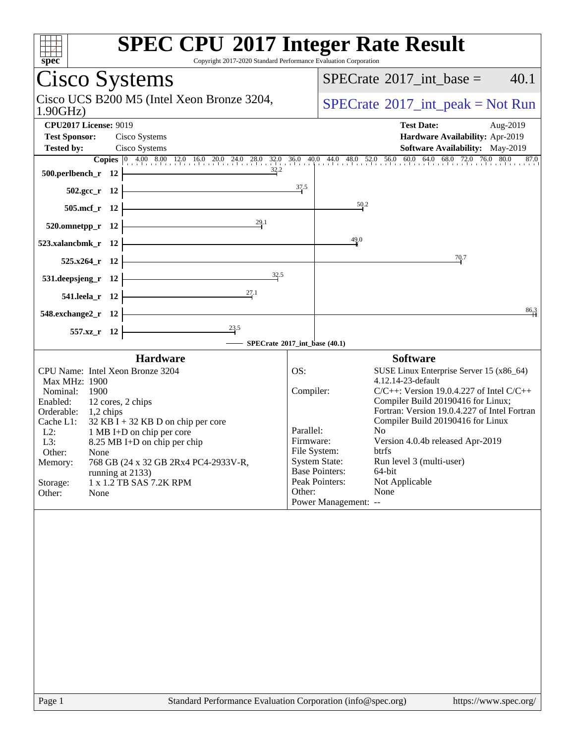| spec                                                                                                                                                                                                                                                                                                                                                                                   | <b>SPEC CPU®2017 Integer Rate Result</b><br>Copyright 2017-2020 Standard Performance Evaluation Corporation                                                                                                                                                                                                                                                                                                                                                              |
|----------------------------------------------------------------------------------------------------------------------------------------------------------------------------------------------------------------------------------------------------------------------------------------------------------------------------------------------------------------------------------------|--------------------------------------------------------------------------------------------------------------------------------------------------------------------------------------------------------------------------------------------------------------------------------------------------------------------------------------------------------------------------------------------------------------------------------------------------------------------------|
| Cisco Systems                                                                                                                                                                                                                                                                                                                                                                          | 40.1<br>$SPECrate^{\circ}2017\_int\_base =$                                                                                                                                                                                                                                                                                                                                                                                                                              |
| Cisco UCS B200 M5 (Intel Xeon Bronze 3204,<br>1.90GHz                                                                                                                                                                                                                                                                                                                                  | $SPECrate^{\circledcirc}2017\_int\_peak = Not Run$                                                                                                                                                                                                                                                                                                                                                                                                                       |
| <b>CPU2017 License: 9019</b><br><b>Test Sponsor:</b><br>Cisco Systems<br><b>Tested by:</b><br>Cisco Systems                                                                                                                                                                                                                                                                            | <b>Test Date:</b><br>Aug-2019<br>Hardware Availability: Apr-2019<br>Software Availability: May-2019                                                                                                                                                                                                                                                                                                                                                                      |
|                                                                                                                                                                                                                                                                                                                                                                                        | <b>Copies</b> $\begin{bmatrix} 0 & 4.00 & 8.00 & 12.0 & 16.0 & 20.0 & 24.0 & 28.0 & 32.0 & 36.0 & 40.0 & 44.0 & 48.0 & 52.0 & 56.0 & 60.0 & 64.0 & 68.0 & 72.0 & 76.0 & 80.0 & 87.0 & 80.0 & 87.0 & 80.0 & 87.0 & 80.0 & 87.0 & 80.0 & 87.0 & 80.0 & 87.0 & 80.0 & 87.0 & 80.0$                                                                                                                                                                                          |
| $\frac{32.2}{ }$<br>$500.$ perlbench_r 12                                                                                                                                                                                                                                                                                                                                              |                                                                                                                                                                                                                                                                                                                                                                                                                                                                          |
| $502.\text{sec}_{r}$ 12                                                                                                                                                                                                                                                                                                                                                                | 37.5                                                                                                                                                                                                                                                                                                                                                                                                                                                                     |
| $505.\text{mcf}_r$ 12                                                                                                                                                                                                                                                                                                                                                                  | 50.2                                                                                                                                                                                                                                                                                                                                                                                                                                                                     |
| 520.omnetpp_r 12 $\overline{29}$ .                                                                                                                                                                                                                                                                                                                                                     |                                                                                                                                                                                                                                                                                                                                                                                                                                                                          |
| 523.xalancbmk_r $12$ $\vdash$                                                                                                                                                                                                                                                                                                                                                          | 49.0                                                                                                                                                                                                                                                                                                                                                                                                                                                                     |
| <u> 1989 - Johann Barn, mars ann an t-Amhair an t-Amhair an t-Amhair an t-Amhair an t-Amhair an t-Amhair an t-Amh</u><br>$525.x264$ <sub>r</sub> 12                                                                                                                                                                                                                                    | 70.7                                                                                                                                                                                                                                                                                                                                                                                                                                                                     |
| $\frac{32.5}{1}$<br>531.deepsjeng_r $12$                                                                                                                                                                                                                                                                                                                                               |                                                                                                                                                                                                                                                                                                                                                                                                                                                                          |
| 541.leela_r 12 $\frac{27.1}{1}$                                                                                                                                                                                                                                                                                                                                                        |                                                                                                                                                                                                                                                                                                                                                                                                                                                                          |
| $548.$ exchange $2\ \text{r}$ 12                                                                                                                                                                                                                                                                                                                                                       | 86,3                                                                                                                                                                                                                                                                                                                                                                                                                                                                     |
| $\overline{\phantom{23.5}}$<br>$557.xz$ r 12                                                                                                                                                                                                                                                                                                                                           |                                                                                                                                                                                                                                                                                                                                                                                                                                                                          |
|                                                                                                                                                                                                                                                                                                                                                                                        | SPECrate®2017_int_base (40.1)                                                                                                                                                                                                                                                                                                                                                                                                                                            |
| <b>Hardware</b><br>CPU Name: Intel Xeon Bronze 3204                                                                                                                                                                                                                                                                                                                                    | <b>Software</b><br>OS:<br>SUSE Linux Enterprise Server 15 (x86_64)                                                                                                                                                                                                                                                                                                                                                                                                       |
| <b>Max MHz: 1900</b><br>Nominal:<br>1900<br>Enabled:<br>12 cores, 2 chips<br>Orderable: 1,2 chips<br>$32$ KB I + 32 KB D on chip per core<br>Cache L1:<br>$L2$ :<br>1 MB I+D on chip per core<br>8.25 MB I+D on chip per chip<br>L3:<br>Other:<br>None<br>768 GB (24 x 32 GB 2Rx4 PC4-2933V-R,<br>Memory:<br>running at 2133)<br>1 x 1.2 TB SAS 7.2K RPM<br>Storage:<br>Other:<br>None | 4.12.14-23-default<br>Compiler:<br>C/C++: Version 19.0.4.227 of Intel C/C++<br>Compiler Build 20190416 for Linux;<br>Fortran: Version 19.0.4.227 of Intel Fortran<br>Compiler Build 20190416 for Linux<br>Parallel:<br>No<br>Version 4.0.4b released Apr-2019<br>Firmware:<br>File System:<br>btrfs<br><b>System State:</b><br>Run level 3 (multi-user)<br><b>Base Pointers:</b><br>64-bit<br>Peak Pointers:<br>Not Applicable<br>Other:<br>None<br>Power Management: -- |
| Page 1                                                                                                                                                                                                                                                                                                                                                                                 | Standard Performance Evaluation Corporation (info@spec.org)<br>https://www.spec.org/                                                                                                                                                                                                                                                                                                                                                                                     |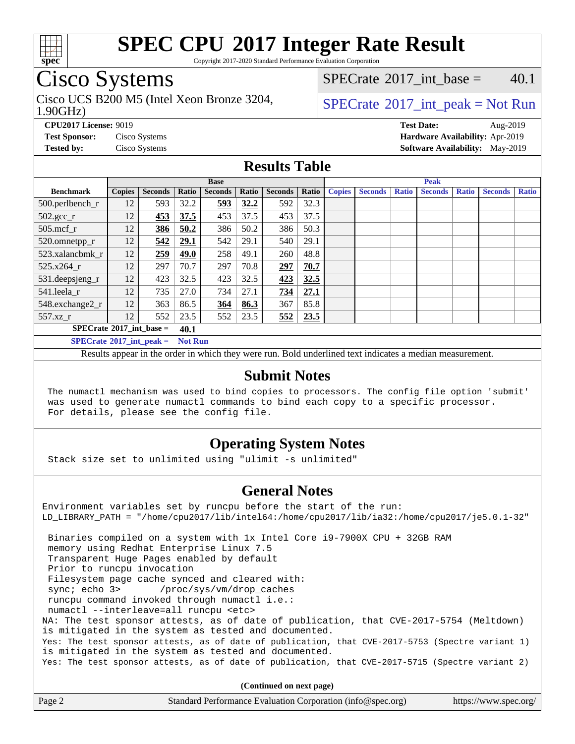

Copyright 2017-2020 Standard Performance Evaluation Corporation

## Cisco Systems

1.90GHz) Cisco UCS B200 M5 (Intel Xeon Bronze 3204,  $\vert$  [SPECrate](http://www.spec.org/auto/cpu2017/Docs/result-fields.html#SPECrate2017intpeak) 2017 int peak = Not Run

[SPECrate](http://www.spec.org/auto/cpu2017/Docs/result-fields.html#SPECrate2017intbase)<sup>®</sup>2017 int base =  $40.1$ 

**[CPU2017 License:](http://www.spec.org/auto/cpu2017/Docs/result-fields.html#CPU2017License)** 9019 **[Test Date:](http://www.spec.org/auto/cpu2017/Docs/result-fields.html#TestDate)** Aug-2019 **[Test Sponsor:](http://www.spec.org/auto/cpu2017/Docs/result-fields.html#TestSponsor)** Cisco Systems **[Hardware Availability:](http://www.spec.org/auto/cpu2017/Docs/result-fields.html#HardwareAvailability)** Apr-2019 **[Tested by:](http://www.spec.org/auto/cpu2017/Docs/result-fields.html#Testedby)** Cisco Systems **[Software Availability:](http://www.spec.org/auto/cpu2017/Docs/result-fields.html#SoftwareAvailability)** May-2019

#### **[Results Table](http://www.spec.org/auto/cpu2017/Docs/result-fields.html#ResultsTable)**

|                                           | <b>Base</b>   |                |                |                | <b>Peak</b> |                |       |               |                |              |                |              |                |              |
|-------------------------------------------|---------------|----------------|----------------|----------------|-------------|----------------|-------|---------------|----------------|--------------|----------------|--------------|----------------|--------------|
| <b>Benchmark</b>                          | <b>Copies</b> | <b>Seconds</b> | Ratio          | <b>Seconds</b> | Ratio       | <b>Seconds</b> | Ratio | <b>Copies</b> | <b>Seconds</b> | <b>Ratio</b> | <b>Seconds</b> | <b>Ratio</b> | <b>Seconds</b> | <b>Ratio</b> |
| 500.perlbench_r                           | 12            | 593            | 32.2           | 593            | 32.2        | 592            | 32.3  |               |                |              |                |              |                |              |
| $502.\text{gcc}$ <sub>r</sub>             | 12            | 453            | 37.5           | 453            | 37.5        | 453            | 37.5  |               |                |              |                |              |                |              |
| $505$ .mcf r                              | 12            | 386            | 50.2           | 386            | 50.2        | 386            | 50.3  |               |                |              |                |              |                |              |
| 520.omnetpp_r                             | 12            | 542            | 29.1           | 542            | 29.1        | 540            | 29.1  |               |                |              |                |              |                |              |
| 523.xalancbmk r                           | 12            | 259            | 49.0           | 258            | 49.1        | 260            | 48.8  |               |                |              |                |              |                |              |
| 525.x264 r                                | 12            | 297            | 70.7           | 297            | 70.8        | 297            | 70.7  |               |                |              |                |              |                |              |
| 531.deepsjeng_r                           | 12            | 423            | 32.5           | 423            | 32.5        | 423            | 32.5  |               |                |              |                |              |                |              |
| 541.leela_r                               | 12            | 735            | 27.0           | 734            | 27.1        | 734            | 27.1  |               |                |              |                |              |                |              |
| 548.exchange2_r                           | 12            | 363            | 86.5           | 364            | 86.3        | 367            | 85.8  |               |                |              |                |              |                |              |
| 557.xz                                    | 12            | 552            | 23.5           | 552            | 23.5        | 552            | 23.5  |               |                |              |                |              |                |              |
| $SPECrate^{\circ}2017$ int base =<br>40.1 |               |                |                |                |             |                |       |               |                |              |                |              |                |              |
| $SPECrate^{\circ}2017$ int peak =         |               |                | <b>Not Run</b> |                |             |                |       |               |                |              |                |              |                |              |

Results appear in the [order in which they were run](http://www.spec.org/auto/cpu2017/Docs/result-fields.html#RunOrder). Bold underlined text [indicates a median measurement](http://www.spec.org/auto/cpu2017/Docs/result-fields.html#Median).

#### **[Submit Notes](http://www.spec.org/auto/cpu2017/Docs/result-fields.html#SubmitNotes)**

 The numactl mechanism was used to bind copies to processors. The config file option 'submit' was used to generate numactl commands to bind each copy to a specific processor. For details, please see the config file.

#### **[Operating System Notes](http://www.spec.org/auto/cpu2017/Docs/result-fields.html#OperatingSystemNotes)**

Stack size set to unlimited using "ulimit -s unlimited"

#### **[General Notes](http://www.spec.org/auto/cpu2017/Docs/result-fields.html#GeneralNotes)**

Environment variables set by runcpu before the start of the run: LD\_LIBRARY\_PATH = "/home/cpu2017/lib/intel64:/home/cpu2017/lib/ia32:/home/cpu2017/je5.0.1-32" Binaries compiled on a system with 1x Intel Core i9-7900X CPU + 32GB RAM memory using Redhat Enterprise Linux 7.5 Transparent Huge Pages enabled by default Prior to runcpu invocation Filesystem page cache synced and cleared with: sync; echo 3> /proc/sys/vm/drop\_caches runcpu command invoked through numactl i.e.: numactl --interleave=all runcpu <etc> NA: The test sponsor attests, as of date of publication, that CVE-2017-5754 (Meltdown) is mitigated in the system as tested and documented. Yes: The test sponsor attests, as of date of publication, that CVE-2017-5753 (Spectre variant 1) is mitigated in the system as tested and documented. Yes: The test sponsor attests, as of date of publication, that CVE-2017-5715 (Spectre variant 2)

**(Continued on next page)**

| Page 2<br>Standard Performance Evaluation Corporation (info@spec.org)<br>https://www.spec.org/ |
|------------------------------------------------------------------------------------------------|
|------------------------------------------------------------------------------------------------|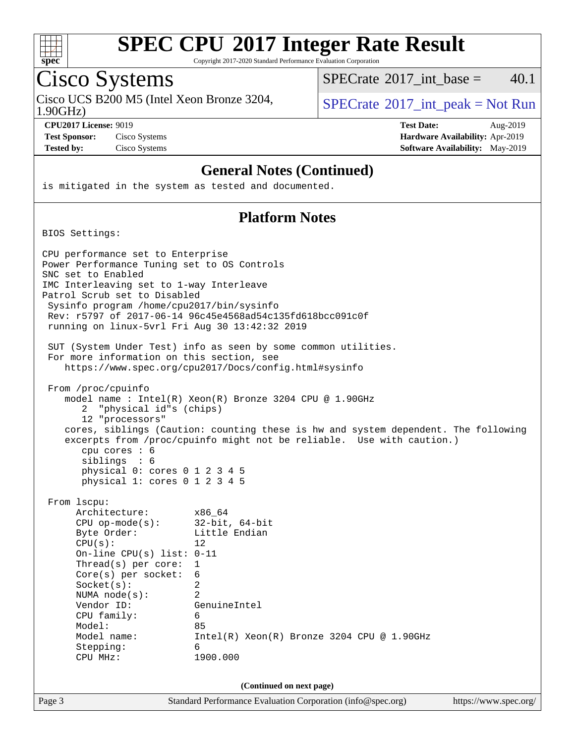

Copyright 2017-2020 Standard Performance Evaluation Corporation

## Cisco Systems

Cisco UCS B200 M5 (Intel Xeon Bronze 3204,  $\vert$  [SPECrate](http://www.spec.org/auto/cpu2017/Docs/result-fields.html#SPECrate2017intpeak) 2017 int peak = Not Run

[SPECrate](http://www.spec.org/auto/cpu2017/Docs/result-fields.html#SPECrate2017intbase)<sup>®</sup>2017 int base =  $40.1$ 

1.90GHz)

**[Test Sponsor:](http://www.spec.org/auto/cpu2017/Docs/result-fields.html#TestSponsor)** Cisco Systems **[Hardware Availability:](http://www.spec.org/auto/cpu2017/Docs/result-fields.html#HardwareAvailability)** Apr-2019 **[Tested by:](http://www.spec.org/auto/cpu2017/Docs/result-fields.html#Testedby)** Cisco Systems **[Software Availability:](http://www.spec.org/auto/cpu2017/Docs/result-fields.html#SoftwareAvailability)** May-2019

**[CPU2017 License:](http://www.spec.org/auto/cpu2017/Docs/result-fields.html#CPU2017License)** 9019 **[Test Date:](http://www.spec.org/auto/cpu2017/Docs/result-fields.html#TestDate)** Aug-2019

#### **[General Notes \(Continued\)](http://www.spec.org/auto/cpu2017/Docs/result-fields.html#GeneralNotes)**

is mitigated in the system as tested and documented.

#### **[Platform Notes](http://www.spec.org/auto/cpu2017/Docs/result-fields.html#PlatformNotes)**

BIOS Settings:

Page 3 Standard Performance Evaluation Corporation [\(info@spec.org\)](mailto:info@spec.org) <https://www.spec.org/> CPU performance set to Enterprise Power Performance Tuning set to OS Controls SNC set to Enabled IMC Interleaving set to 1-way Interleave Patrol Scrub set to Disabled Sysinfo program /home/cpu2017/bin/sysinfo Rev: r5797 of 2017-06-14 96c45e4568ad54c135fd618bcc091c0f running on linux-5vrl Fri Aug 30 13:42:32 2019 SUT (System Under Test) info as seen by some common utilities. For more information on this section, see <https://www.spec.org/cpu2017/Docs/config.html#sysinfo> From /proc/cpuinfo model name : Intel(R) Xeon(R) Bronze 3204 CPU @ 1.90GHz 2 "physical id"s (chips) 12 "processors" cores, siblings (Caution: counting these is hw and system dependent. The following excerpts from /proc/cpuinfo might not be reliable. Use with caution.) cpu cores : 6 siblings : 6 physical 0: cores 0 1 2 3 4 5 physical 1: cores 0 1 2 3 4 5 From lscpu: Architecture: x86\_64 CPU op-mode(s): 32-bit, 64-bit Byte Order: Little Endian  $CPU(s):$  12 On-line CPU(s) list: 0-11 Thread(s) per core: 1 Core(s) per socket: 6 Socket(s): 2 NUMA node(s): 2 Vendor ID: GenuineIntel CPU family: 6 Model: 85 Model name: Intel(R) Xeon(R) Bronze 3204 CPU @ 1.90GHz Stepping: 6 CPU MHz: 1900.000 **(Continued on next page)**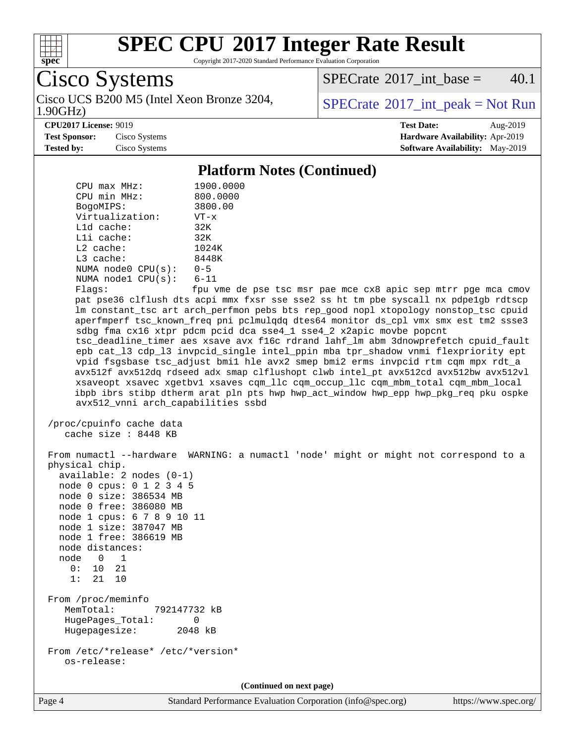

Copyright 2017-2020 Standard Performance Evaluation Corporation

Cisco Systems

1.90GHz) Cisco UCS B200 M5 (Intel Xeon Bronze 3204,  $SPECrate^{\circ}2017\_int\_peak = Not Run$  $SPECrate^{\circ}2017\_int\_peak = Not Run$ 

 $SPECTate$ <sup>®</sup>[2017\\_int\\_base =](http://www.spec.org/auto/cpu2017/Docs/result-fields.html#SPECrate2017intbase) 40.1

#### **[CPU2017 License:](http://www.spec.org/auto/cpu2017/Docs/result-fields.html#CPU2017License)** 9019 **[Test Date:](http://www.spec.org/auto/cpu2017/Docs/result-fields.html#TestDate)** Aug-2019

**[Test Sponsor:](http://www.spec.org/auto/cpu2017/Docs/result-fields.html#TestSponsor)** Cisco Systems **[Hardware Availability:](http://www.spec.org/auto/cpu2017/Docs/result-fields.html#HardwareAvailability)** Apr-2019 **[Tested by:](http://www.spec.org/auto/cpu2017/Docs/result-fields.html#Testedby)** Cisco Systems **[Software Availability:](http://www.spec.org/auto/cpu2017/Docs/result-fields.html#SoftwareAvailability)** May-2019

#### **[Platform Notes \(Continued\)](http://www.spec.org/auto/cpu2017/Docs/result-fields.html#PlatformNotes)**

| CPU max MHz:                                                                                                                                                                                                                                                                                                                    | 1900.0000                                                                                                                                                                                                                                                                                                                                                                                                                                                                                                                                                                                                                                                                                                                                                                                                                                                                |
|---------------------------------------------------------------------------------------------------------------------------------------------------------------------------------------------------------------------------------------------------------------------------------------------------------------------------------|--------------------------------------------------------------------------------------------------------------------------------------------------------------------------------------------------------------------------------------------------------------------------------------------------------------------------------------------------------------------------------------------------------------------------------------------------------------------------------------------------------------------------------------------------------------------------------------------------------------------------------------------------------------------------------------------------------------------------------------------------------------------------------------------------------------------------------------------------------------------------|
| CPU min MHz:                                                                                                                                                                                                                                                                                                                    | 800.0000                                                                                                                                                                                                                                                                                                                                                                                                                                                                                                                                                                                                                                                                                                                                                                                                                                                                 |
| BogoMIPS:<br>Virtualization:                                                                                                                                                                                                                                                                                                    | 3800.00<br>$VT - x$                                                                                                                                                                                                                                                                                                                                                                                                                                                                                                                                                                                                                                                                                                                                                                                                                                                      |
| L1d cache:                                                                                                                                                                                                                                                                                                                      | 32K                                                                                                                                                                                                                                                                                                                                                                                                                                                                                                                                                                                                                                                                                                                                                                                                                                                                      |
| Lli cache:                                                                                                                                                                                                                                                                                                                      | 32K                                                                                                                                                                                                                                                                                                                                                                                                                                                                                                                                                                                                                                                                                                                                                                                                                                                                      |
| L2 cache:                                                                                                                                                                                                                                                                                                                       | 1024K                                                                                                                                                                                                                                                                                                                                                                                                                                                                                                                                                                                                                                                                                                                                                                                                                                                                    |
| L3 cache:                                                                                                                                                                                                                                                                                                                       | 8448K                                                                                                                                                                                                                                                                                                                                                                                                                                                                                                                                                                                                                                                                                                                                                                                                                                                                    |
| NUMA $node0$ $CPU(s)$ :                                                                                                                                                                                                                                                                                                         | $0 - 5$                                                                                                                                                                                                                                                                                                                                                                                                                                                                                                                                                                                                                                                                                                                                                                                                                                                                  |
| NUMA nodel CPU(s):                                                                                                                                                                                                                                                                                                              | $6 - 11$                                                                                                                                                                                                                                                                                                                                                                                                                                                                                                                                                                                                                                                                                                                                                                                                                                                                 |
| Flags:                                                                                                                                                                                                                                                                                                                          | fpu vme de pse tsc msr pae mce cx8 apic sep mtrr pge mca cmov                                                                                                                                                                                                                                                                                                                                                                                                                                                                                                                                                                                                                                                                                                                                                                                                            |
| avx512_vnni arch_capabilities ssbd                                                                                                                                                                                                                                                                                              | pat pse36 clflush dts acpi mmx fxsr sse sse2 ss ht tm pbe syscall nx pdpelgb rdtscp<br>lm constant_tsc art arch_perfmon pebs bts rep_good nopl xtopology nonstop_tsc cpuid<br>aperfmperf tsc_known_freq pni pclmulqdq dtes64 monitor ds_cpl vmx smx est tm2 ssse3<br>sdbg fma cx16 xtpr pdcm pcid dca sse4_1 sse4_2 x2apic movbe popcnt<br>tsc_deadline_timer aes xsave avx f16c rdrand lahf_lm abm 3dnowprefetch cpuid_fault<br>epb cat_13 cdp_13 invpcid_single intel_ppin mba tpr_shadow vnmi flexpriority ept<br>vpid fsgsbase tsc_adjust bmil hle avx2 smep bmi2 erms invpcid rtm cqm mpx rdt_a<br>avx512f avx512dq rdseed adx smap clflushopt clwb intel_pt avx512cd avx512bw avx512vl<br>xsaveopt xsavec xgetbvl xsaves cqm_llc cqm_occup_llc cqm_mbm_total cqm_mbm_local<br>ibpb ibrs stibp dtherm arat pln pts hwp hwp_act_window hwp_epp hwp_pkg_req pku ospke |
| /proc/cpuinfo cache data<br>cache size : 8448 KB                                                                                                                                                                                                                                                                                |                                                                                                                                                                                                                                                                                                                                                                                                                                                                                                                                                                                                                                                                                                                                                                                                                                                                          |
| physical chip.<br>$available: 2 nodes (0-1)$<br>node 0 cpus: 0 1 2 3 4 5<br>node 0 size: 386534 MB<br>node 0 free: 386080 MB<br>node 1 cpus: 6 7 8 9 10 11<br>node 1 size: 387047 MB<br>node 1 free: 386619 MB<br>node distances:<br>node<br>$\overline{\phantom{0}}$<br>$\overline{\phantom{0}}$<br>10 21<br>0:<br>21 10<br>1: | From numactl --hardware WARNING: a numactl 'node' might or might not correspond to a                                                                                                                                                                                                                                                                                                                                                                                                                                                                                                                                                                                                                                                                                                                                                                                     |
| From /proc/meminfo<br>MemTotal:<br>792147732 kB<br>HugePages_Total:<br>Hugepagesize:                                                                                                                                                                                                                                            | 0<br>2048 kB                                                                                                                                                                                                                                                                                                                                                                                                                                                                                                                                                                                                                                                                                                                                                                                                                                                             |
| From /etc/*release* /etc/*version*<br>os-release:                                                                                                                                                                                                                                                                               |                                                                                                                                                                                                                                                                                                                                                                                                                                                                                                                                                                                                                                                                                                                                                                                                                                                                          |
|                                                                                                                                                                                                                                                                                                                                 | (Continued on next page)                                                                                                                                                                                                                                                                                                                                                                                                                                                                                                                                                                                                                                                                                                                                                                                                                                                 |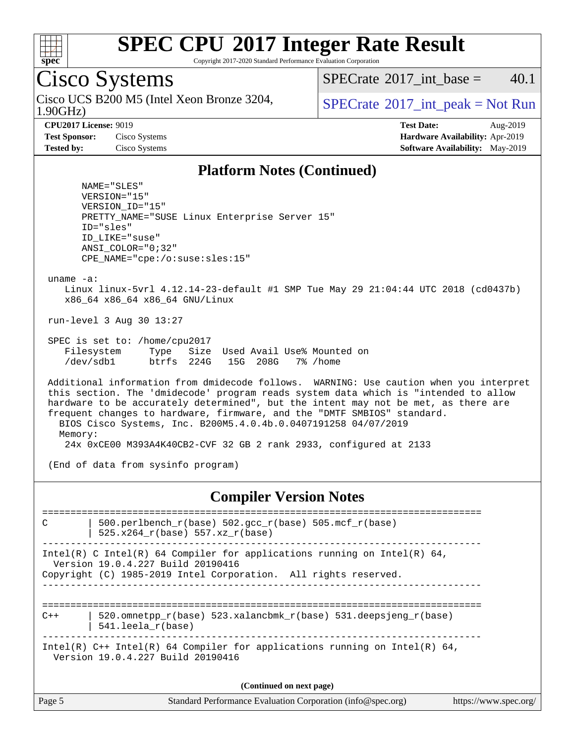

Copyright 2017-2020 Standard Performance Evaluation Corporation

## Cisco Systems

1.90GHz) Cisco UCS B200 M5 (Intel Xeon Bronze 3204,  $\vert$  [SPECrate](http://www.spec.org/auto/cpu2017/Docs/result-fields.html#SPECrate2017intpeak) 2017 int peak = Not Run

[SPECrate](http://www.spec.org/auto/cpu2017/Docs/result-fields.html#SPECrate2017intbase)<sup>®</sup>2017 int base =  $40.1$ 

**[CPU2017 License:](http://www.spec.org/auto/cpu2017/Docs/result-fields.html#CPU2017License)** 9019 **[Test Date:](http://www.spec.org/auto/cpu2017/Docs/result-fields.html#TestDate)** Aug-2019 **[Test Sponsor:](http://www.spec.org/auto/cpu2017/Docs/result-fields.html#TestSponsor)** Cisco Systems **[Hardware Availability:](http://www.spec.org/auto/cpu2017/Docs/result-fields.html#HardwareAvailability)** Apr-2019 **[Tested by:](http://www.spec.org/auto/cpu2017/Docs/result-fields.html#Testedby)** Cisco Systems **[Software Availability:](http://www.spec.org/auto/cpu2017/Docs/result-fields.html#SoftwareAvailability)** May-2019

#### **[Platform Notes \(Continued\)](http://www.spec.org/auto/cpu2017/Docs/result-fields.html#PlatformNotes)**

 NAME="SLES" VERSION="15" VERSION\_ID="15" PRETTY\_NAME="SUSE Linux Enterprise Server 15" ID="sles" ID\_LIKE="suse" ANSI\_COLOR="0;32" CPE\_NAME="cpe:/o:suse:sles:15"

uname -a:

 Linux linux-5vrl 4.12.14-23-default #1 SMP Tue May 29 21:04:44 UTC 2018 (cd0437b) x86\_64 x86\_64 x86\_64 GNU/Linux

run-level 3 Aug 30 13:27

 SPEC is set to: /home/cpu2017 Filesystem Type Size Used Avail Use% Mounted on /dev/sdb1 btrfs 224G 15G 208G 7% /home

 Additional information from dmidecode follows. WARNING: Use caution when you interpret this section. The 'dmidecode' program reads system data which is "intended to allow hardware to be accurately determined", but the intent may not be met, as there are frequent changes to hardware, firmware, and the "DMTF SMBIOS" standard. BIOS Cisco Systems, Inc. B200M5.4.0.4b.0.0407191258 04/07/2019 Memory: 24x 0xCE00 M393A4K40CB2-CVF 32 GB 2 rank 2933, configured at 2133

(End of data from sysinfo program)

#### **[Compiler Version Notes](http://www.spec.org/auto/cpu2017/Docs/result-fields.html#CompilerVersionNotes)**

============================================================================== C  $\vert$  500.perlbench\_r(base) 502.gcc\_r(base) 505.mcf\_r(base) | 525.x264\_r(base) 557.xz\_r(base) ------------------------------------------------------------------------------ Intel(R) C Intel(R) 64 Compiler for applications running on Intel(R)  $64$ , Version 19.0.4.227 Build 20190416 Copyright (C) 1985-2019 Intel Corporation. All rights reserved. ------------------------------------------------------------------------------ ==============================================================================  $C++$  | 520.omnetpp\_r(base) 523.xalancbmk\_r(base) 531.deepsjeng\_r(base) | 541.leela\_r(base) ------------------------------------------------------------------------------ Intel(R)  $C++$  Intel(R) 64 Compiler for applications running on Intel(R) 64, Version 19.0.4.227 Build 20190416 **(Continued on next page)**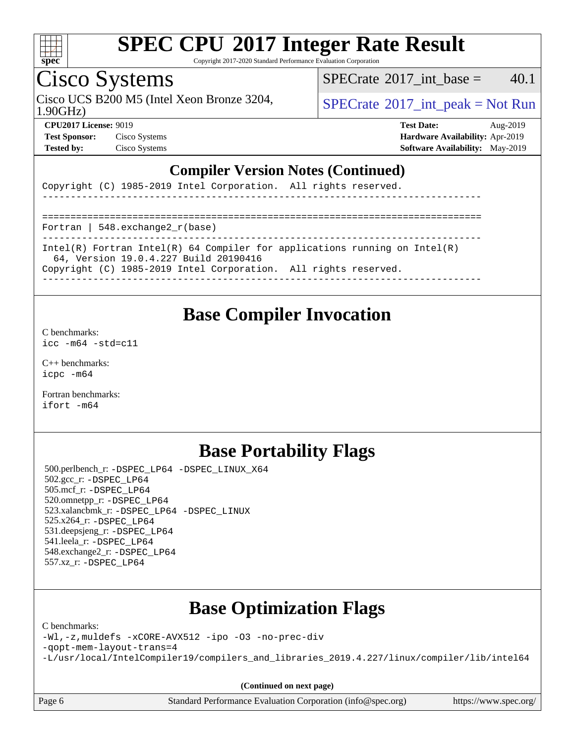

Copyright 2017-2020 Standard Performance Evaluation Corporation

## Cisco Systems

Cisco UCS B200 M5 (Intel Xeon Bronze 3204,  $\vert$  [SPECrate](http://www.spec.org/auto/cpu2017/Docs/result-fields.html#SPECrate2017intpeak) 2017 int peak = Not Run

[SPECrate](http://www.spec.org/auto/cpu2017/Docs/result-fields.html#SPECrate2017intbase)<sup>®</sup>2017 int base =  $40.1$ 

1.90GHz)

**[Test Sponsor:](http://www.spec.org/auto/cpu2017/Docs/result-fields.html#TestSponsor)** Cisco Systems **[Hardware Availability:](http://www.spec.org/auto/cpu2017/Docs/result-fields.html#HardwareAvailability)** Apr-2019 **[Tested by:](http://www.spec.org/auto/cpu2017/Docs/result-fields.html#Testedby)** Cisco Systems **[Software Availability:](http://www.spec.org/auto/cpu2017/Docs/result-fields.html#SoftwareAvailability)** May-2019

**[CPU2017 License:](http://www.spec.org/auto/cpu2017/Docs/result-fields.html#CPU2017License)** 9019 **[Test Date:](http://www.spec.org/auto/cpu2017/Docs/result-fields.html#TestDate)** Aug-2019

#### **[Compiler Version Notes \(Continued\)](http://www.spec.org/auto/cpu2017/Docs/result-fields.html#CompilerVersionNotes)**

Copyright (C) 1985-2019 Intel Corporation. All rights reserved.

------------------------------------------------------------------------------ ==============================================================================

Fortran | 548.exchange2\_r(base)

------------------------------------------------------------------------------ Intel(R) Fortran Intel(R) 64 Compiler for applications running on Intel(R)

64, Version 19.0.4.227 Build 20190416

Copyright (C) 1985-2019 Intel Corporation. All rights reserved.

------------------------------------------------------------------------------

### **[Base Compiler Invocation](http://www.spec.org/auto/cpu2017/Docs/result-fields.html#BaseCompilerInvocation)**

[C benchmarks](http://www.spec.org/auto/cpu2017/Docs/result-fields.html#Cbenchmarks):

[icc -m64 -std=c11](http://www.spec.org/cpu2017/results/res2019q3/cpu2017-20190903-17721.flags.html#user_CCbase_intel_icc_64bit_c11_33ee0cdaae7deeeab2a9725423ba97205ce30f63b9926c2519791662299b76a0318f32ddfffdc46587804de3178b4f9328c46fa7c2b0cd779d7a61945c91cd35)

[C++ benchmarks:](http://www.spec.org/auto/cpu2017/Docs/result-fields.html#CXXbenchmarks) [icpc -m64](http://www.spec.org/cpu2017/results/res2019q3/cpu2017-20190903-17721.flags.html#user_CXXbase_intel_icpc_64bit_4ecb2543ae3f1412ef961e0650ca070fec7b7afdcd6ed48761b84423119d1bf6bdf5cad15b44d48e7256388bc77273b966e5eb805aefd121eb22e9299b2ec9d9)

[Fortran benchmarks](http://www.spec.org/auto/cpu2017/Docs/result-fields.html#Fortranbenchmarks): [ifort -m64](http://www.spec.org/cpu2017/results/res2019q3/cpu2017-20190903-17721.flags.html#user_FCbase_intel_ifort_64bit_24f2bb282fbaeffd6157abe4f878425411749daecae9a33200eee2bee2fe76f3b89351d69a8130dd5949958ce389cf37ff59a95e7a40d588e8d3a57e0c3fd751)

## **[Base Portability Flags](http://www.spec.org/auto/cpu2017/Docs/result-fields.html#BasePortabilityFlags)**

 500.perlbench\_r: [-DSPEC\\_LP64](http://www.spec.org/cpu2017/results/res2019q3/cpu2017-20190903-17721.flags.html#b500.perlbench_r_basePORTABILITY_DSPEC_LP64) [-DSPEC\\_LINUX\\_X64](http://www.spec.org/cpu2017/results/res2019q3/cpu2017-20190903-17721.flags.html#b500.perlbench_r_baseCPORTABILITY_DSPEC_LINUX_X64) 502.gcc\_r: [-DSPEC\\_LP64](http://www.spec.org/cpu2017/results/res2019q3/cpu2017-20190903-17721.flags.html#suite_basePORTABILITY502_gcc_r_DSPEC_LP64) 505.mcf\_r: [-DSPEC\\_LP64](http://www.spec.org/cpu2017/results/res2019q3/cpu2017-20190903-17721.flags.html#suite_basePORTABILITY505_mcf_r_DSPEC_LP64) 520.omnetpp\_r: [-DSPEC\\_LP64](http://www.spec.org/cpu2017/results/res2019q3/cpu2017-20190903-17721.flags.html#suite_basePORTABILITY520_omnetpp_r_DSPEC_LP64) 523.xalancbmk\_r: [-DSPEC\\_LP64](http://www.spec.org/cpu2017/results/res2019q3/cpu2017-20190903-17721.flags.html#suite_basePORTABILITY523_xalancbmk_r_DSPEC_LP64) [-DSPEC\\_LINUX](http://www.spec.org/cpu2017/results/res2019q3/cpu2017-20190903-17721.flags.html#b523.xalancbmk_r_baseCXXPORTABILITY_DSPEC_LINUX) 525.x264\_r: [-DSPEC\\_LP64](http://www.spec.org/cpu2017/results/res2019q3/cpu2017-20190903-17721.flags.html#suite_basePORTABILITY525_x264_r_DSPEC_LP64) 531.deepsjeng\_r: [-DSPEC\\_LP64](http://www.spec.org/cpu2017/results/res2019q3/cpu2017-20190903-17721.flags.html#suite_basePORTABILITY531_deepsjeng_r_DSPEC_LP64) 541.leela\_r: [-DSPEC\\_LP64](http://www.spec.org/cpu2017/results/res2019q3/cpu2017-20190903-17721.flags.html#suite_basePORTABILITY541_leela_r_DSPEC_LP64) 548.exchange2\_r: [-DSPEC\\_LP64](http://www.spec.org/cpu2017/results/res2019q3/cpu2017-20190903-17721.flags.html#suite_basePORTABILITY548_exchange2_r_DSPEC_LP64) 557.xz\_r: [-DSPEC\\_LP64](http://www.spec.org/cpu2017/results/res2019q3/cpu2017-20190903-17721.flags.html#suite_basePORTABILITY557_xz_r_DSPEC_LP64)

## **[Base Optimization Flags](http://www.spec.org/auto/cpu2017/Docs/result-fields.html#BaseOptimizationFlags)**

#### [C benchmarks](http://www.spec.org/auto/cpu2017/Docs/result-fields.html#Cbenchmarks):

[-Wl,-z,muldefs](http://www.spec.org/cpu2017/results/res2019q3/cpu2017-20190903-17721.flags.html#user_CCbase_link_force_multiple1_b4cbdb97b34bdee9ceefcfe54f4c8ea74255f0b02a4b23e853cdb0e18eb4525ac79b5a88067c842dd0ee6996c24547a27a4b99331201badda8798ef8a743f577) [-xCORE-AVX512](http://www.spec.org/cpu2017/results/res2019q3/cpu2017-20190903-17721.flags.html#user_CCbase_f-xCORE-AVX512) [-ipo](http://www.spec.org/cpu2017/results/res2019q3/cpu2017-20190903-17721.flags.html#user_CCbase_f-ipo) [-O3](http://www.spec.org/cpu2017/results/res2019q3/cpu2017-20190903-17721.flags.html#user_CCbase_f-O3) [-no-prec-div](http://www.spec.org/cpu2017/results/res2019q3/cpu2017-20190903-17721.flags.html#user_CCbase_f-no-prec-div)

[-qopt-mem-layout-trans=4](http://www.spec.org/cpu2017/results/res2019q3/cpu2017-20190903-17721.flags.html#user_CCbase_f-qopt-mem-layout-trans_fa39e755916c150a61361b7846f310bcdf6f04e385ef281cadf3647acec3f0ae266d1a1d22d972a7087a248fd4e6ca390a3634700869573d231a252c784941a8)

[-L/usr/local/IntelCompiler19/compilers\\_and\\_libraries\\_2019.4.227/linux/compiler/lib/intel64](http://www.spec.org/cpu2017/results/res2019q3/cpu2017-20190903-17721.flags.html#user_CCbase_qkmalloc_link_0ffe0cb02c68ef1b443a077c7888c10c67ca0d1dd7138472156f06a085bbad385f78d49618ad55dca9db3b1608e84afc2f69b4003b1d1ca498a9fc1462ccefda)

**(Continued on next page)**

|  | Page 6 |  |
|--|--------|--|
|--|--------|--|

Page 6 Standard Performance Evaluation Corporation [\(info@spec.org\)](mailto:info@spec.org) <https://www.spec.org/>